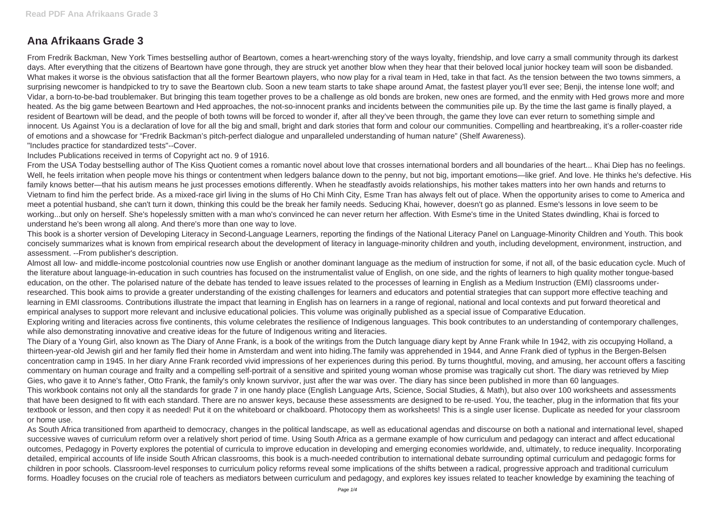## **Ana Afrikaans Grade 3**

From Fredrik Backman, New York Times bestselling author of Beartown, comes a heart-wrenching story of the ways loyalty, friendship, and love carry a small community through its darkest days. After everything that the citizens of Beartown have gone through, they are struck yet another blow when they hear that their beloved local junior hockey team will soon be disbanded. What makes it worse is the obvious satisfaction that all the former Beartown players, who now play for a rival team in Hed, take in that fact. As the tension between the two towns simmers, a surprising newcomer is handpicked to try to save the Beartown club. Soon a new team starts to take shape around Amat, the fastest player you'll ever see; Benji, the intense lone wolf; and Vidar, a born-to-be-bad troublemaker. But bringing this team together proves to be a challenge as old bonds are broken, new ones are formed, and the enmity with Hed grows more and more heated. As the big game between Beartown and Hed approaches, the not-so-innocent pranks and incidents between the communities pile up. By the time the last game is finally played, a resident of Beartown will be dead, and the people of both towns will be forced to wonder if, after all they've been through, the game they love can ever return to something simple and innocent. Us Against You is a declaration of love for all the big and small, bright and dark stories that form and colour our communities. Compelling and heartbreaking, it's a roller-coaster ride of emotions and a showcase for "Fredrik Backman's pitch-perfect dialogue and unparalleled understanding of human nature" (Shelf Awareness). "Includes practice for standardized tests"--Cover.

Almost all low- and middle-income postcolonial countries now use English or another dominant language as the medium of instruction for some, if not all, of the basic education cycle. Much of the literature about language-in-education in such countries has focused on the instrumentalist value of English, on one side, and the rights of learners to high quality mother tongue-based education, on the other. The polarised nature of the debate has tended to leave issues related to the processes of learning in English as a Medium Instruction (EMI) classrooms underresearched. This book aims to provide a greater understanding of the existing challenges for learners and educators and potential strategies that can support more effective teaching and learning in EMI classrooms. Contributions illustrate the impact that learning in English has on learners in a range of regional, national and local contexts and put forward theoretical and empirical analyses to support more relevant and inclusive educational policies. This volume was originally published as a special issue of Comparative Education. Exploring writing and literacies across five continents, this volume celebrates the resilience of Indigenous languages. This book contributes to an understanding of contemporary challenges, while also demonstrating innovative and creative ideas for the future of Indigenous writing and literacies.

Includes Publications received in terms of Copyright act no. 9 of 1916.

From the USA Today bestselling author of The Kiss Quotient comes a romantic novel about love that crosses international borders and all boundaries of the heart... Khai Diep has no feelings. Well, he feels irritation when people move his things or contentment when ledgers balance down to the penny, but not big, important emotions—like grief. And love. He thinks he's defective. His family knows better—that his autism means he just processes emotions differently. When he steadfastly avoids relationships, his mother takes matters into her own hands and returns to Vietnam to find him the perfect bride. As a mixed-race girl living in the slums of Ho Chi Minh City, Esme Tran has always felt out of place. When the opportunity arises to come to America and meet a potential husband, she can't turn it down, thinking this could be the break her family needs. Seducing Khai, however, doesn't go as planned. Esme's lessons in love seem to be working...but only on herself. She's hopelessly smitten with a man who's convinced he can never return her affection. With Esme's time in the United States dwindling, Khai is forced to understand he's been wrong all along. And there's more than one way to love.

This book is a shorter version of Developing Literacy in Second-Language Learners, reporting the findings of the National Literacy Panel on Language-Minority Children and Youth. This book concisely summarizes what is known from empirical research about the development of literacy in language-minority children and youth, including development, environment, instruction, and assessment. --From publisher's description.

The Diary of a Young Girl, also known as The Diary of Anne Frank, is a book of the writings from the Dutch language diary kept by Anne Frank while In 1942, with zis occupying Holland, a thirteen-year-old Jewish girl and her family fled their home in Amsterdam and went into hiding.The family was apprehended in 1944, and Anne Frank died of typhus in the Bergen-Belsen concentration camp in 1945. In her diary Anne Frank recorded vivid impressions of her experiences during this period. By turns thoughtful, moving, and amusing, her account offers a fasciting commentary on human courage and frailty and a compelling self-portrait of a sensitive and spirited young woman whose promise was tragically cut short. The diary was retrieved by Miep Gies, who gave it to Anne's father, Otto Frank, the family's only known survivor, just after the war was over. The diary has since been published in more than 60 languages. This workbook contains not only all the standards for grade 7 in one handy place (English Language Arts, Science, Social Studies, & Math), but also over 100 worksheets and assessments that have been designed to fit with each standard. There are no answer keys, because these assessments are designed to be re-used. You, the teacher, plug in the information that fits your textbook or lesson, and then copy it as needed! Put it on the whiteboard or chalkboard. Photocopy them as worksheets! This is a single user license. Duplicate as needed for your classroom or home use.

As South Africa transitioned from apartheid to democracy, changes in the political landscape, as well as educational agendas and discourse on both a national and international level, shaped successive waves of curriculum reform over a relatively short period of time. Using South Africa as a germane example of how curriculum and pedagogy can interact and affect educational outcomes, Pedagogy in Poverty explores the potential of curricula to improve education in developing and emerging economies worldwide, and, ultimately, to reduce inequality. Incorporating detailed, empirical accounts of life inside South African classrooms, this book is a much-needed contribution to international debate surrounding optimal curriculum and pedagogic forms for children in poor schools. Classroom-level responses to curriculum policy reforms reveal some implications of the shifts between a radical, progressive approach and traditional curriculum forms. Hoadley focuses on the crucial role of teachers as mediators between curriculum and pedagogy, and explores key issues related to teacher knowledge by examining the teaching of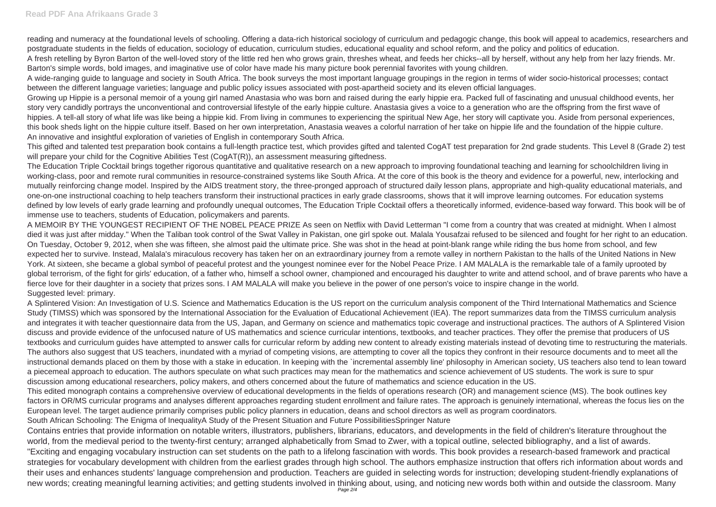reading and numeracy at the foundational levels of schooling. Offering a data-rich historical sociology of curriculum and pedagogic change, this book will appeal to academics, researchers and postgraduate students in the fields of education, sociology of education, curriculum studies, educational equality and school reform, and the policy and politics of education. A fresh retelling by Byron Barton of the well-loved story of the little red hen who grows grain, threshes wheat, and feeds her chicks--all by herself, without any help from her lazy friends. Mr. Barton's simple words, bold images, and imaginative use of color have made his many picture book perennial favorites with young children.

This gifted and talented test preparation book contains a full-length practice test, which provides gifted and talented CogAT test preparation for 2nd grade students. This Level 8 (Grade 2) test will prepare your child for the Cognitive Abilities Test (CogAT(R)), an assessment measuring giftedness.

A wide-ranging guide to language and society in South Africa. The book surveys the most important language groupings in the region in terms of wider socio-historical processes; contact between the different language varieties; language and public policy issues associated with post-apartheid society and its eleven official languages. Growing up Hippie is a personal memoir of a young girl named Anastasia who was born and raised during the early hippie era. Packed full of fascinating and unusual childhood events, her story very candidly portrays the unconventional and controversial lifestyle of the early hippie culture. Anastasia gives a voice to a generation who are the offspring from the first wave of hippies. A tell-all story of what life was like being a hippie kid. From living in communes to experiencing the spiritual New Age, her story will captivate you. Aside from personal experiences, this book sheds light on the hippie culture itself. Based on her own interpretation, Anastasia weaves a colorful narration of her take on hippie life and the foundation of the hippie culture. An innovative and insightful exploration of varieties of English in contemporary South Africa.

The Education Triple Cocktail brings together rigorous quantitative and qualitative research on a new approach to improving foundational teaching and learning for schoolchildren living in working-class, poor and remote rural communities in resource-constrained systems like South Africa. At the core of this book is the theory and evidence for a powerful, new, interlocking and mutually reinforcing change model. Inspired by the AIDS treatment story, the three-pronged approach of structured daily lesson plans, appropriate and high-quality educational materials, and one-on-one instructional coaching to help teachers transform their instructional practices in early grade classrooms, shows that it will improve learning outcomes. For education systems defined by low levels of early grade learning and profoundly unequal outcomes, The Education Triple Cocktail offers a theoretically informed, evidence-based way forward. This book will be of immense use to teachers, students of Education, policymakers and parents.

A MEMOIR BY THE YOUNGEST RECIPIENT OF THE NOBEL PEACE PRIZE As seen on Netflix with David Letterman "I come from a country that was created at midnight. When I almost died it was just after midday." When the Taliban took control of the Swat Valley in Pakistan, one girl spoke out. Malala Yousafzai refused to be silenced and fought for her right to an education. On Tuesday, October 9, 2012, when she was fifteen, she almost paid the ultimate price. She was shot in the head at point-blank range while riding the bus home from school, and few expected her to survive. Instead, Malala's miraculous recovery has taken her on an extraordinary journey from a remote valley in northern Pakistan to the halls of the United Nations in New York. At sixteen, she became a global symbol of peaceful protest and the youngest nominee ever for the Nobel Peace Prize. I AM MALALA is the remarkable tale of a family uprooted by global terrorism, of the fight for girls' education, of a father who, himself a school owner, championed and encouraged his daughter to write and attend school, and of brave parents who have a fierce love for their daughter in a society that prizes sons. I AM MALALA will make you believe in the power of one person's voice to inspire change in the world. Suggested level: primary.

A Splintered Vision: An Investigation of U.S. Science and Mathematics Education is the US report on the curriculum analysis component of the Third International Mathematics and Science Study (TIMSS) which was sponsored by the International Association for the Evaluation of Educational Achievement (IEA). The report summarizes data from the TIMSS curriculum analysis and integrates it with teacher questionnaire data from the US, Japan, and Germany on science and mathematics topic coverage and instructional practices. The authors of A Splintered Vision discuss and provide evidence of the unfocused nature of US mathematics and science curricular intentions, textbooks, and teacher practices. They offer the premise that producers of US textbooks and curriculum guides have attempted to answer calls for curricular reform by adding new content to already existing materials instead of devoting time to restructuring the materials. The authors also suggest that US teachers, inundated with a myriad of competing visions, are attempting to cover all the topics they confront in their resource documents and to meet all the instructional demands placed on them by those with a stake in education. In keeping with the `incremental assembly line' philosophy in American society, US teachers also tend to lean toward a piecemeal approach to education. The authors speculate on what such practices may mean for the mathematics and science achievement of US students. The work is sure to spur discussion among educational researchers, policy makers, and others concerned about the future of mathematics and science education in the US.

This edited monograph contains a comprehensive overview of educational developments in the fields of operations research (OR) and management science (MS). The book outlines key factors in OR/MS curricular programs and analyses different approaches regarding student enrollment and failure rates. The approach is genuinely international, whereas the focus lies on the European level. The target audience primarily comprises public policy planners in education, deans and school directors as well as program coordinators. South African Schooling: The Enigma of InequalityA Study of the Present Situation and Future PossibilitiesSpringer Nature

Contains entries that provide information on notable writers, illustrators, publishers, librarians, educators, and developments in the field of children's literature throughout the world, from the medieval period to the twenty-first century; arranged alphabetically from Smad to Zwer, with a topical outline, selected bibliography, and a list of awards. "Exciting and engaging vocabulary instruction can set students on the path to a lifelong fascination with words. This book provides a research-based framework and practical strategies for vocabulary development with children from the earliest grades through high school. The authors emphasize instruction that offers rich information about words and their uses and enhances students' language comprehension and production. Teachers are guided in selecting words for instruction; developing student-friendly explanations of new words; creating meaningful learning activities; and getting students involved in thinking about, using, and noticing new words both within and outside the classroom. Many Page 2/4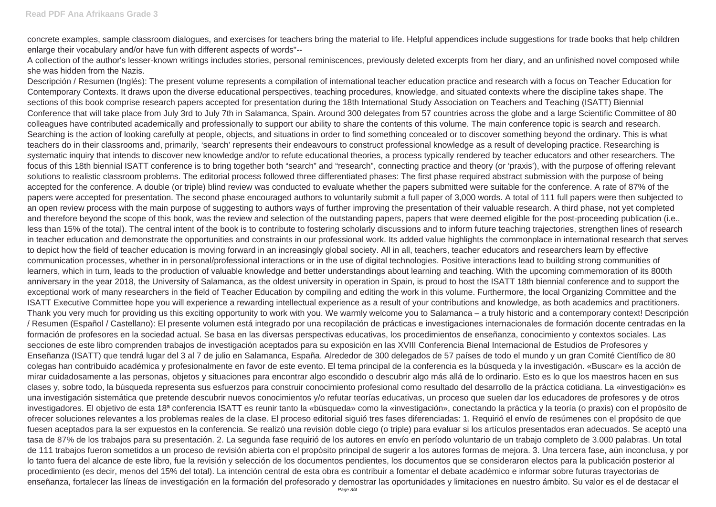concrete examples, sample classroom dialogues, and exercises for teachers bring the material to life. Helpful appendices include suggestions for trade books that help children enlarge their vocabulary and/or have fun with different aspects of words"--

A collection of the author's lesser-known writings includes stories, personal reminiscences, previously deleted excerpts from her diary, and an unfinished novel composed while she was hidden from the Nazis.

Descripción / Resumen (Inglés): The present volume represents a compilation of international teacher education practice and research with a focus on Teacher Education for Contemporary Contexts. It draws upon the diverse educational perspectives, teaching procedures, knowledge, and situated contexts where the discipline takes shape. The sections of this book comprise research papers accepted for presentation during the 18th International Study Association on Teachers and Teaching (ISATT) Biennial Conference that will take place from July 3rd to July 7th in Salamanca, Spain. Around 300 delegates from 57 countries across the globe and a large Scientific Committee of 80 colleagues have contributed academically and professionally to support our ability to share the contents of this volume. The main conference topic is search and research. Searching is the action of looking carefully at people, objects, and situations in order to find something concealed or to discover something beyond the ordinary. This is what teachers do in their classrooms and, primarily, 'search' represents their endeavours to construct professional knowledge as a result of developing practice. Researching is systematic inquiry that intends to discover new knowledge and/or to refute educational theories, a process typically rendered by teacher educators and other researchers. The focus of this 18th biennial ISATT conference is to bring together both "search" and "research", connecting practice and theory (or 'praxis'), with the purpose of offering relevant solutions to realistic classroom problems. The editorial process followed three differentiated phases: The first phase required abstract submission with the purpose of being accepted for the conference. A double (or triple) blind review was conducted to evaluate whether the papers submitted were suitable for the conference. A rate of 87% of the papers were accepted for presentation. The second phase encouraged authors to voluntarily submit a full paper of 3,000 words. A total of 111 full papers were then subjected to an open review process with the main purpose of suggesting to authors ways of further improving the presentation of their valuable research. A third phase, not yet completed and therefore beyond the scope of this book, was the review and selection of the outstanding papers, papers that were deemed eligible for the post-proceeding publication (i.e., less than 15% of the total). The central intent of the book is to contribute to fostering scholarly discussions and to inform future teaching trajectories, strengthen lines of research in teacher education and demonstrate the opportunities and constraints in our professional work. Its added value highlights the commonplace in international research that serves to depict how the field of teacher education is moving forward in an increasingly global society. All in all, teachers, teacher educators and researchers learn by effective communication processes, whether in in personal/professional interactions or in the use of digital technologies. Positive interactions lead to building strong communities of learners, which in turn, leads to the production of valuable knowledge and better understandings about learning and teaching. With the upcoming commemoration of its 800th anniversary in the year 2018, the University of Salamanca, as the oldest university in operation in Spain, is proud to host the ISATT 18th biennial conference and to support the exceptional work of many researchers in the field of Teacher Education by compiling and editing the work in this volume. Furthermore, the local Organizing Committee and the ISATT Executive Committee hope you will experience a rewarding intellectual experience as a result of your contributions and knowledge, as both academics and practitioners. Thank you very much for providing us this exciting opportunity to work with you. We warmly welcome you to Salamanca – a truly historic and a contemporary context! Descripción / Resumen (Español / Castellano): El presente volumen está integrado por una recopilación de prácticas e investigaciones internacionales de formación docente centradas en la formación de profesores en la sociedad actual. Se basa en las diversas perspectivas educativas, los procedimientos de enseñanza, conocimiento y contextos sociales. Las secciones de este libro comprenden trabajos de investigación aceptados para su exposición en las XVIII Conferencia Bienal Internacional de Estudios de Profesores y Enseñanza (ISATT) que tendrá lugar del 3 al 7 de julio en Salamanca, España. Alrededor de 300 delegados de 57 países de todo el mundo y un gran Comité Científico de 80 colegas han contribuido académica y profesionalmente en favor de este evento. El tema principal de la conferencia es la búsqueda y la investigación. «Buscar» es la acción de mirar cuidadosamente a las personas, objetos y situaciones para encontrar algo escondido o descubrir algo más allá de lo ordinario. Esto es lo que los maestros hacen en sus clases y, sobre todo, la búsqueda representa sus esfuerzos para construir conocimiento profesional como resultado del desarrollo de la práctica cotidiana. La «investigación» es una investigación sistemática que pretende descubrir nuevos conocimientos y/o refutar teorías educativas, un proceso que suelen dar los educadores de profesores y de otros investigadores. El objetivo de esta 18<sup>a</sup> conferencia ISATT es reunir tanto la «búsqueda» como la «investigación», conectando la práctica y la teoría (o praxis) con el propósito de ofrecer soluciones relevantes a los problemas reales de la clase. El proceso editorial siguió tres fases diferenciadas: 1. Requirió el envío de resúmenes con el propósito de que fuesen aceptados para la ser expuestos en la conferencia. Se realizó una revisión doble ciego (o triple) para evaluar si los artículos presentados eran adecuados. Se aceptó una tasa de 87% de los trabajos para su presentación. 2. La segunda fase requirió de los autores en envío en período voluntario de un trabajo completo de 3.000 palabras. Un total de 111 trabajos fueron sometidos a un proceso de revisión abierta con el propósito principal de sugerir a los autores formas de mejora. 3. Una tercera fase, aún inconclusa, y por lo tanto fuera del alcance de este libro, fue la revisión y selección de los documentos pendientes, los documentos que se consideraron electos para la publicación posterior al procedimiento (es decir, menos del 15% del total). La intención central de esta obra es contribuir a fomentar el debate académico e informar sobre futuras trayectorias de enseñanza, fortalecer las líneas de investigación en la formación del profesorado y demostrar las oportunidades y limitaciones en nuestro ámbito. Su valor es el de destacar el